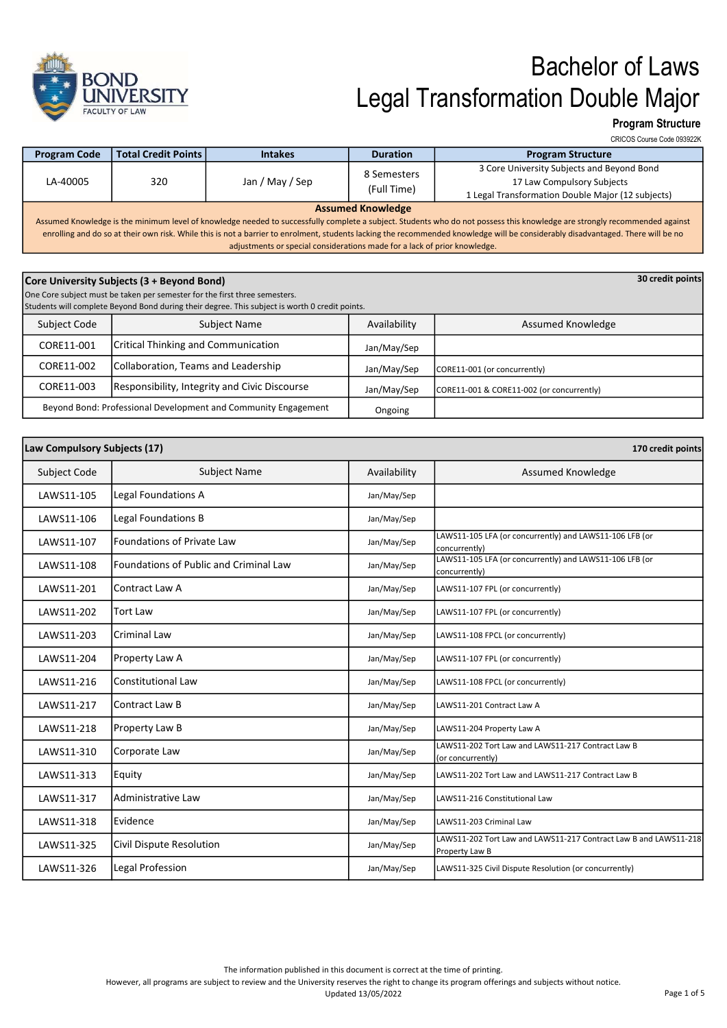

### Program Structure

CRICOS Course Code 093922K

| <b>Program Code</b>                                                                                                                                                                                                                                                                                                                                                                                                                                                     | <b>Total Credit Points  </b> | <b>Intakes</b>  | <b>Duration</b>            | <b>Program Structure</b>                                                                                                      |
|-------------------------------------------------------------------------------------------------------------------------------------------------------------------------------------------------------------------------------------------------------------------------------------------------------------------------------------------------------------------------------------------------------------------------------------------------------------------------|------------------------------|-----------------|----------------------------|-------------------------------------------------------------------------------------------------------------------------------|
| LA-40005                                                                                                                                                                                                                                                                                                                                                                                                                                                                | 320                          | Jan / May / Sep | 8 Semesters<br>(Full Time) | 3 Core University Subjects and Beyond Bond<br>17 Law Compulsory Subjects<br>1 Legal Transformation Double Major (12 subjects) |
| <b>Assumed Knowledge</b><br>Assumed Knowledge is the minimum level of knowledge needed to successfully complete a subject. Students who do not possess this knowledge are strongly recommended against<br>enrolling and do so at their own risk. While this is not a barrier to enrolment, students lacking the recommended knowledge will be considerably disadvantaged. There will be no<br>adjustments or special considerations made for a lack of prior knowledge. |                              |                 |                            |                                                                                                                               |

| Core University Subjects (3 + Beyond Bond)                                 |                                                                                                |              |                                           |  |
|----------------------------------------------------------------------------|------------------------------------------------------------------------------------------------|--------------|-------------------------------------------|--|
| One Core subject must be taken per semester for the first three semesters. |                                                                                                |              |                                           |  |
|                                                                            | Students will complete Beyond Bond during their degree. This subject is worth 0 credit points. |              |                                           |  |
| Subject Code                                                               | Subject Name                                                                                   | Availability | Assumed Knowledge                         |  |
| CORE11-001                                                                 | <b>Critical Thinking and Communication</b>                                                     | Jan/May/Sep  |                                           |  |
| CORE11-002                                                                 | Collaboration, Teams and Leadership                                                            | Jan/May/Sep  | CORE11-001 (or concurrently)              |  |
| CORE11-003                                                                 | Responsibility, Integrity and Civic Discourse                                                  | Jan/May/Sep  | CORE11-001 & CORE11-002 (or concurrently) |  |
|                                                                            | Beyond Bond: Professional Development and Community Engagement                                 | Ongoing      |                                           |  |

| Law Compulsory Subjects (17)<br>170 credit points |                                        |              |                                                                                    |
|---------------------------------------------------|----------------------------------------|--------------|------------------------------------------------------------------------------------|
| Subject Code                                      | <b>Subject Name</b>                    | Availability | Assumed Knowledge                                                                  |
| LAWS11-105                                        | Legal Foundations A                    | Jan/May/Sep  |                                                                                    |
| LAWS11-106                                        | Legal Foundations B                    | Jan/May/Sep  |                                                                                    |
| LAWS11-107                                        | <b>Foundations of Private Law</b>      | Jan/May/Sep  | LAWS11-105 LFA (or concurrently) and LAWS11-106 LFB (or<br>concurrently)           |
| LAWS11-108                                        | Foundations of Public and Criminal Law | Jan/May/Sep  | LAWS11-105 LFA (or concurrently) and LAWS11-106 LFB (or<br>concurrently)           |
| LAWS11-201                                        | Contract Law A                         | Jan/May/Sep  | LAWS11-107 FPL (or concurrently)                                                   |
| LAWS11-202                                        | <b>Tort Law</b>                        | Jan/May/Sep  | LAWS11-107 FPL (or concurrently)                                                   |
| LAWS11-203                                        | <b>Criminal Law</b>                    | Jan/May/Sep  | LAWS11-108 FPCL (or concurrently)                                                  |
| LAWS11-204                                        | Property Law A                         | Jan/May/Sep  | LAWS11-107 FPL (or concurrently)                                                   |
| LAWS11-216                                        | <b>Constitutional Law</b>              | Jan/May/Sep  | LAWS11-108 FPCL (or concurrently)                                                  |
| LAWS11-217                                        | <b>Contract Law B</b>                  | Jan/May/Sep  | LAWS11-201 Contract Law A                                                          |
| LAWS11-218                                        | Property Law B                         | Jan/May/Sep  | LAWS11-204 Property Law A                                                          |
| LAWS11-310                                        | Corporate Law                          | Jan/May/Sep  | LAWS11-202 Tort Law and LAWS11-217 Contract Law B<br>(or concurrently)             |
| LAWS11-313                                        | Equity                                 | Jan/May/Sep  | LAWS11-202 Tort Law and LAWS11-217 Contract Law B                                  |
| LAWS11-317                                        | Administrative Law                     | Jan/May/Sep  | LAWS11-216 Constitutional Law                                                      |
| LAWS11-318                                        | Evidence                               | Jan/May/Sep  | LAWS11-203 Criminal Law                                                            |
| LAWS11-325                                        | Civil Dispute Resolution               | Jan/May/Sep  | LAWS11-202 Tort Law and LAWS11-217 Contract Law B and LAWS11-218<br>Property Law B |
| LAWS11-326                                        | Legal Profession                       | Jan/May/Sep  | LAWS11-325 Civil Dispute Resolution (or concurrently)                              |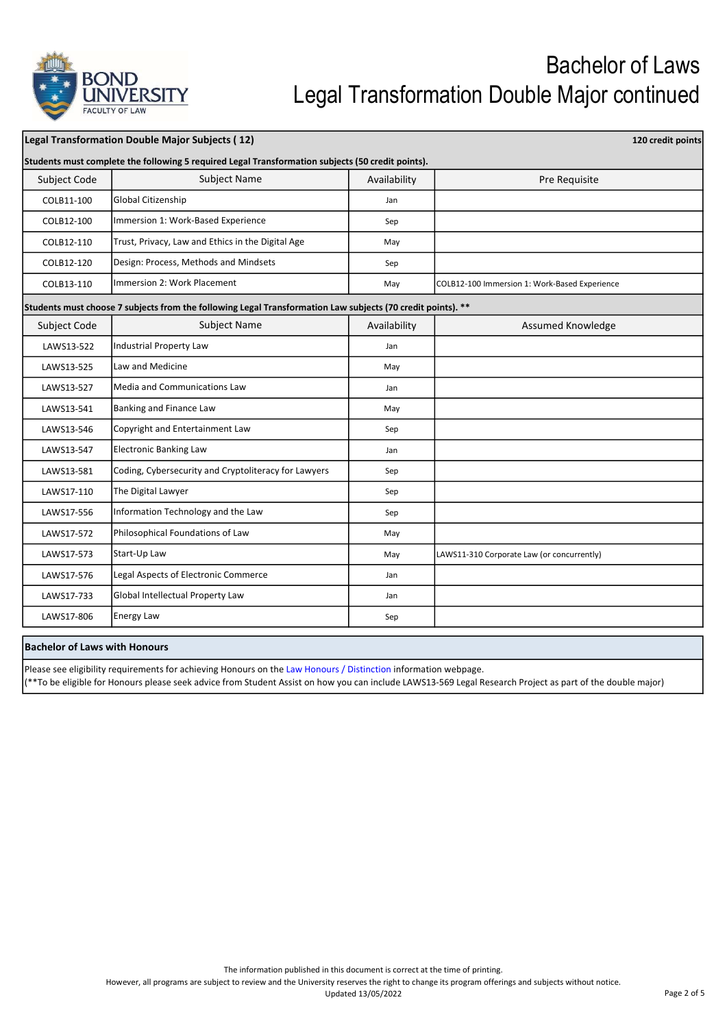

| Legal Transformation Double Major Subjects (12)                                                   |                                                                                                             |              |                                               |  |  |
|---------------------------------------------------------------------------------------------------|-------------------------------------------------------------------------------------------------------------|--------------|-----------------------------------------------|--|--|
| Students must complete the following 5 required Legal Transformation subjects (50 credit points). |                                                                                                             |              |                                               |  |  |
| Subject Code                                                                                      | <b>Subject Name</b>                                                                                         | Availability | Pre Requisite                                 |  |  |
| COLB11-100                                                                                        | Global Citizenship                                                                                          | Jan          |                                               |  |  |
| COLB12-100                                                                                        | Immersion 1: Work-Based Experience                                                                          | Sep          |                                               |  |  |
| COLB12-110                                                                                        | Trust, Privacy, Law and Ethics in the Digital Age                                                           | May          |                                               |  |  |
| COLB12-120                                                                                        | Design: Process, Methods and Mindsets                                                                       | Sep          |                                               |  |  |
| COLB13-110                                                                                        | Immersion 2: Work Placement                                                                                 | May          | COLB12-100 Immersion 1: Work-Based Experience |  |  |
|                                                                                                   | Students must choose 7 subjects from the following Legal Transformation Law subjects (70 credit points). ** |              |                                               |  |  |
| Subject Code                                                                                      | Subject Name                                                                                                | Availability | Assumed Knowledge                             |  |  |
| LAWS13-522                                                                                        | Industrial Property Law                                                                                     | Jan          |                                               |  |  |
| LAWS13-525                                                                                        | Law and Medicine                                                                                            | May          |                                               |  |  |
| LAWS13-527                                                                                        | <b>Media and Communications Law</b>                                                                         | Jan          |                                               |  |  |
| LAWS13-541                                                                                        | Banking and Finance Law                                                                                     | May          |                                               |  |  |
| LAWS13-546                                                                                        | Copyright and Entertainment Law                                                                             | Sep          |                                               |  |  |
| LAWS13-547                                                                                        | <b>Electronic Banking Law</b>                                                                               | Jan          |                                               |  |  |
| LAWS13-581                                                                                        | Coding, Cybersecurity and Cryptoliteracy for Lawyers                                                        | Sep          |                                               |  |  |
| LAWS17-110                                                                                        | The Digital Lawyer                                                                                          | Sep          |                                               |  |  |
| LAWS17-556                                                                                        | Information Technology and the Law                                                                          | Sep          |                                               |  |  |
| LAWS17-572                                                                                        | Philosophical Foundations of Law                                                                            | May          |                                               |  |  |
| LAWS17-573                                                                                        | Start-Up Law                                                                                                | May          | LAWS11-310 Corporate Law (or concurrently)    |  |  |
| LAWS17-576                                                                                        | Legal Aspects of Electronic Commerce                                                                        | Jan          |                                               |  |  |
| LAWS17-733                                                                                        | Global Intellectual Property Law                                                                            | Jan          |                                               |  |  |
| LAWS17-806                                                                                        | Energy Law                                                                                                  | Sep          |                                               |  |  |

#### Bachelor of Laws with Honours

Please see eligibility requirements for achieving Honours on the Law Honours / Distinction information webpage.

(\*\*To be eligible for Honours please seek advice from Student Assist on how you can include LAWS13-569 Legal Research Project as part of the double major)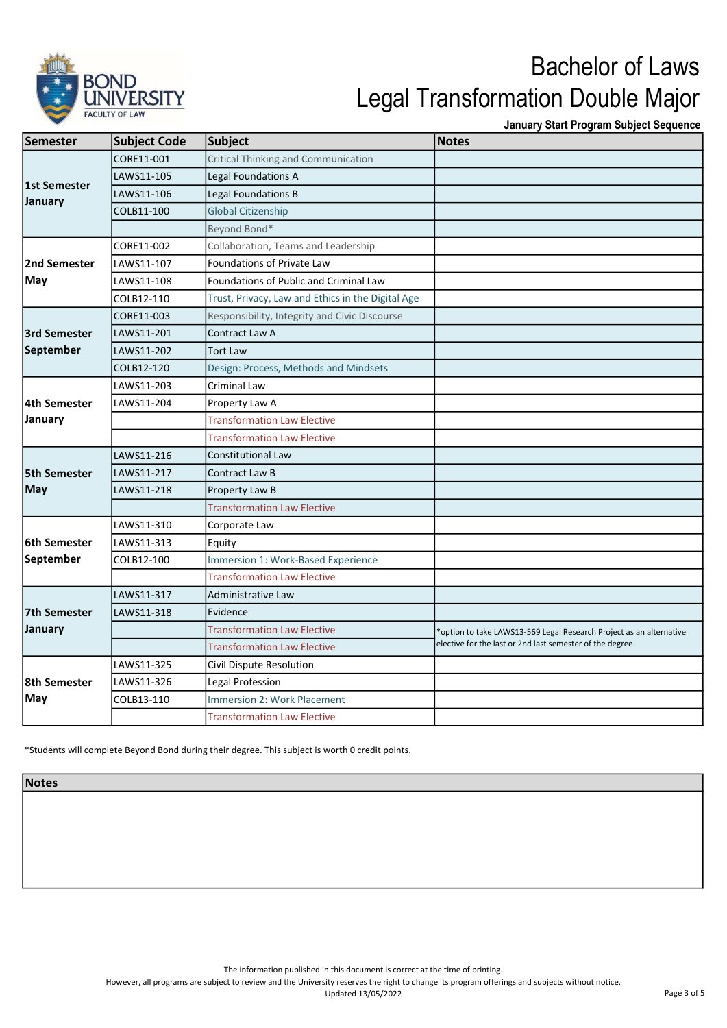

January Start Program Subject Sequence

| <b>Semester</b>         | <b>Subject Code</b> | Subject                                           | <b>Notes</b>                                                        |
|-------------------------|---------------------|---------------------------------------------------|---------------------------------------------------------------------|
| 1st Semester<br>January | CORE11-001          | Critical Thinking and Communication               |                                                                     |
|                         | LAWS11-105          | Legal Foundations A                               |                                                                     |
|                         | LAWS11-106          | <b>Legal Foundations B</b>                        |                                                                     |
|                         | COLB11-100          | <b>Global Citizenship</b>                         |                                                                     |
|                         |                     | Beyond Bond*                                      |                                                                     |
| 2nd Semester<br>May     | CORE11-002          | Collaboration, Teams and Leadership               |                                                                     |
|                         | LAWS11-107          | <b>Foundations of Private Law</b>                 |                                                                     |
|                         | LAWS11-108          | <b>Foundations of Public and Criminal Law</b>     |                                                                     |
|                         | COLB12-110          | Trust, Privacy, Law and Ethics in the Digital Age |                                                                     |
|                         | CORE11-003          | Responsibility, Integrity and Civic Discourse     |                                                                     |
| 3rd Semester            | LAWS11-201          | Contract Law A                                    |                                                                     |
| September               | LAWS11-202          | <b>Tort Law</b>                                   |                                                                     |
|                         | COLB12-120          | Design: Process, Methods and Mindsets             |                                                                     |
| 4th Semester            | LAWS11-203          | Criminal Law                                      |                                                                     |
|                         | LAWS11-204          | Property Law A                                    |                                                                     |
| January                 |                     | <b>Transformation Law Elective</b>                |                                                                     |
|                         |                     | <b>Transformation Law Elective</b>                |                                                                     |
|                         | LAWS11-216          | <b>Constitutional Law</b>                         |                                                                     |
| <b>5th Semester</b>     | LAWS11-217          | <b>Contract Law B</b>                             |                                                                     |
| May                     | LAWS11-218          | Property Law B                                    |                                                                     |
|                         |                     | <b>Transformation Law Elective</b>                |                                                                     |
|                         | LAWS11-310          | Corporate Law                                     |                                                                     |
| 6th Semester            | LAWS11-313          | Equity                                            |                                                                     |
| September               | COLB12-100          | Immersion 1: Work-Based Experience                |                                                                     |
|                         |                     | <b>Transformation Law Elective</b>                |                                                                     |
| 7th Semester            | LAWS11-317          | Administrative Law                                |                                                                     |
|                         | LAWS11-318          | Evidence                                          |                                                                     |
| January                 |                     | <b>Transformation Law Elective</b>                | *option to take LAWS13-569 Legal Research Project as an alternative |
|                         |                     | <b>Transformation Law Elective</b>                | elective for the last or 2nd last semester of the degree.           |
|                         | LAWS11-325          | Civil Dispute Resolution                          |                                                                     |
| 8th Semester            | LAWS11-326          | Legal Profession                                  |                                                                     |
| May                     | COLB13-110          | <b>Immersion 2: Work Placement</b>                |                                                                     |
|                         |                     | <b>Transformation Law Elective</b>                |                                                                     |

\*Students will complete Beyond Bond during their degree. This subject is worth 0 credit points.

Notes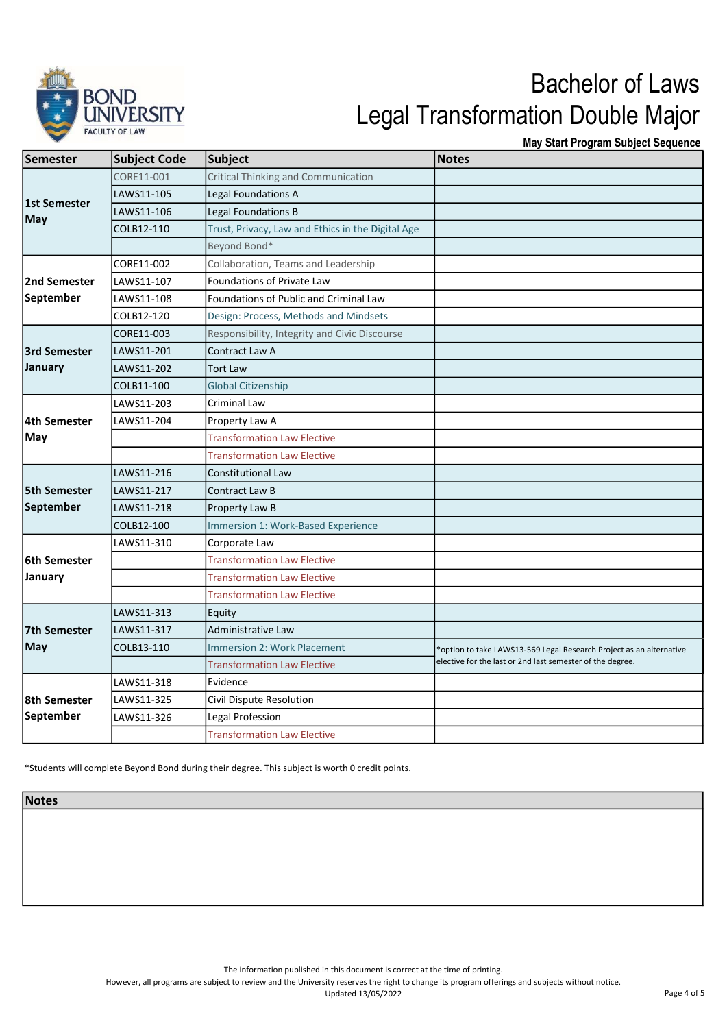

May Start Program Subject Sequence

| Semester            | <b>Subject Code</b> | Subject                                           | <b>Notes</b>                                                        |
|---------------------|---------------------|---------------------------------------------------|---------------------------------------------------------------------|
| 1st Semester<br>May | CORE11-001          | <b>Critical Thinking and Communication</b>        |                                                                     |
|                     | LAWS11-105          | Legal Foundations A                               |                                                                     |
|                     | LAWS11-106          | Legal Foundations B                               |                                                                     |
|                     | COLB12-110          | Trust, Privacy, Law and Ethics in the Digital Age |                                                                     |
|                     |                     | Beyond Bond*                                      |                                                                     |
| 2nd Semester        | CORE11-002          | Collaboration, Teams and Leadership               |                                                                     |
|                     | LAWS11-107          | <b>Foundations of Private Law</b>                 |                                                                     |
| September           | LAWS11-108          | <b>Foundations of Public and Criminal Law</b>     |                                                                     |
|                     | COLB12-120          | Design: Process, Methods and Mindsets             |                                                                     |
|                     | CORE11-003          | Responsibility, Integrity and Civic Discourse     |                                                                     |
| 3rd Semester        | LAWS11-201          | Contract Law A                                    |                                                                     |
| January             | LAWS11-202          | <b>Tort Law</b>                                   |                                                                     |
|                     | COLB11-100          | <b>Global Citizenship</b>                         |                                                                     |
|                     | LAWS11-203          | Criminal Law                                      |                                                                     |
| 4th Semester        | LAWS11-204          | Property Law A                                    |                                                                     |
| May                 |                     | <b>Transformation Law Elective</b>                |                                                                     |
|                     |                     | <b>Transformation Law Elective</b>                |                                                                     |
|                     | LAWS11-216          | <b>Constitutional Law</b>                         |                                                                     |
| <b>5th Semester</b> | LAWS11-217          | Contract Law B                                    |                                                                     |
| September           | LAWS11-218          | Property Law B                                    |                                                                     |
|                     | COLB12-100          | Immersion 1: Work-Based Experience                |                                                                     |
|                     | LAWS11-310          | Corporate Law                                     |                                                                     |
| l6th Semester       |                     | <b>Transformation Law Elective</b>                |                                                                     |
| January             |                     | <b>Transformation Law Elective</b>                |                                                                     |
|                     |                     | <b>Transformation Law Elective</b>                |                                                                     |
|                     | LAWS11-313          | Equity                                            |                                                                     |
| 7th Semester        | LAWS11-317          | Administrative Law                                |                                                                     |
| May                 | COLB13-110          | <b>Immersion 2: Work Placement</b>                | *option to take LAWS13-569 Legal Research Project as an alternative |
|                     |                     | <b>Transformation Law Elective</b>                | elective for the last or 2nd last semester of the degree.           |
|                     | LAWS11-318          | Evidence                                          |                                                                     |
| 8th Semester        | LAWS11-325          | Civil Dispute Resolution                          |                                                                     |
| September           | LAWS11-326          | Legal Profession                                  |                                                                     |
|                     |                     | <b>Transformation Law Elective</b>                |                                                                     |

\*Students will complete Beyond Bond during their degree. This subject is worth 0 credit points.

Notes

The information published in this document is correct at the time of printing.

However, all programs are subject to review and the University reserves the right to change its program offerings and subjects without notice.

Updated 13/05/2022 Page 4 of 5